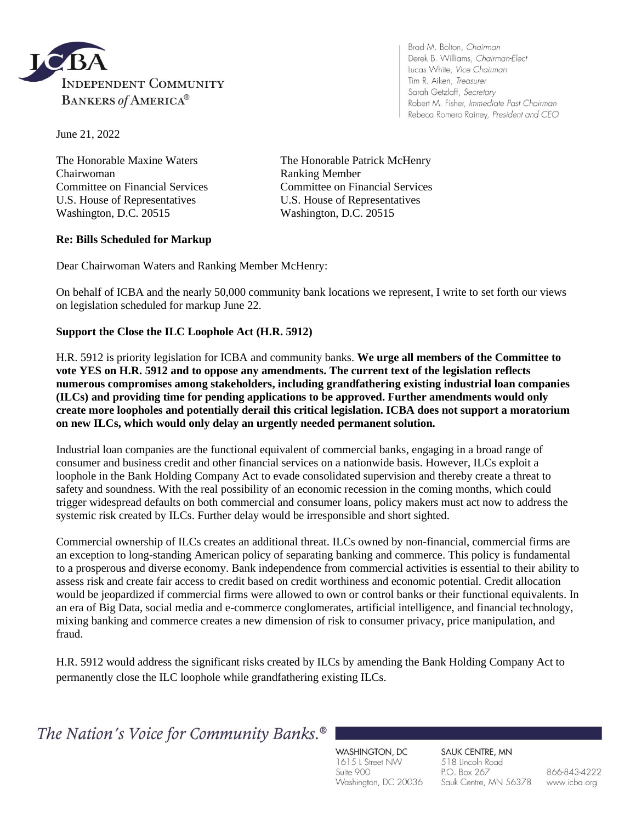

Brad M. Bolton, Chairman Derek B. Williams, Chairman-Elect Lucas White, Vice Chairman Tim R. Aiken, Treasurer Sarah Getzlaff, Secretary Robert M. Fisher, Immediate Past Chairman Rebeca Romero Rainey, President and CEO

June 21, 2022

Chairwoman Ranking Member U.S. House of Representatives U.S. House of Representatives Washington, D.C. 20515 Washington, D.C. 20515

The Honorable Maxine Waters The Honorable Patrick McHenry Committee on Financial Services Committee on Financial Services

## **Re: Bills Scheduled for Markup**

Dear Chairwoman Waters and Ranking Member McHenry:

On behalf of ICBA and the nearly 50,000 community bank locations we represent, I write to set forth our views on legislation scheduled for markup June 22.

#### **Support the Close the ILC Loophole Act (H.R. 5912)**

H.R. 5912 is priority legislation for ICBA and community banks. **We urge all members of the Committee to vote YES on H.R. 5912 and to oppose any amendments. The current text of the legislation reflects numerous compromises among stakeholders, including grandfathering existing industrial loan companies (ILCs) and providing time for pending applications to be approved. Further amendments would only create more loopholes and potentially derail this critical legislation. ICBA does not support a moratorium on new ILCs, which would only delay an urgently needed permanent solution.**

Industrial loan companies are the functional equivalent of commercial banks, engaging in a broad range of consumer and business credit and other financial services on a nationwide basis. However, ILCs exploit a loophole in the Bank Holding Company Act to evade consolidated supervision and thereby create a threat to safety and soundness. With the real possibility of an economic recession in the coming months, which could trigger widespread defaults on both commercial and consumer loans, policy makers must act now to address the systemic risk created by ILCs. Further delay would be irresponsible and short sighted.

Commercial ownership of ILCs creates an additional threat. ILCs owned by non-financial, commercial firms are an exception to long-standing American policy of separating banking and commerce. This policy is fundamental to a prosperous and diverse economy. Bank independence from commercial activities is essential to their ability to assess risk and create fair access to credit based on credit worthiness and economic potential. Credit allocation would be jeopardized if commercial firms were allowed to own or control banks or their functional equivalents. In an era of Big Data, social media and e-commerce conglomerates, artificial intelligence, and financial technology, mixing banking and commerce creates a new dimension of risk to consumer privacy, price manipulation, and fraud.

H.R. 5912 would address the significant risks created by ILCs by amending the Bank Holding Company Act to permanently close the ILC loophole while grandfathering existing ILCs.

The Nation's Voice for Community Banks.<sup>®</sup>

WASHINGTON, DC 1615 L Street NW Suite 900 Washington, DC 20036

SAUK CENTRE, MN 518 Lincoln Road P.O. Box 267 Sauk Centre, MN 56378

866-843-4222 www.icba.org